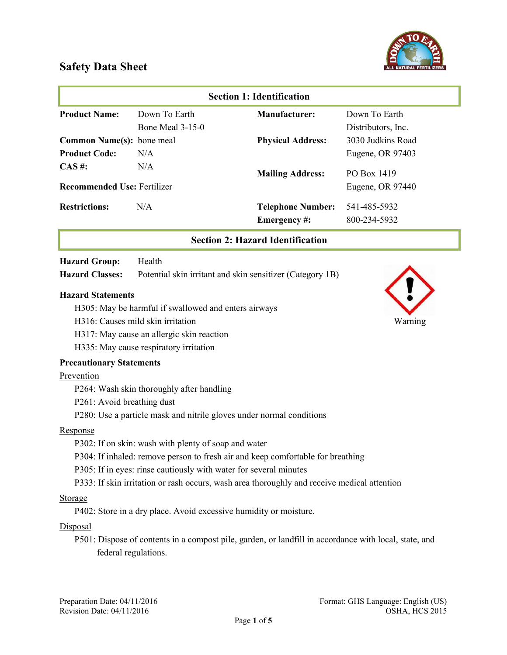

| <b>Section 1: Identification</b>   |                    |                                                           |                    |
|------------------------------------|--------------------|-----------------------------------------------------------|--------------------|
| <b>Product Name:</b>               | Down To Earth      | Manufacturer:                                             | Down To Earth      |
|                                    | Bone Meal $3-15-0$ |                                                           | Distributors, Inc. |
| <b>Common Name(s):</b> bone meal   |                    | <b>Physical Address:</b>                                  | 3030 Judkins Road  |
| <b>Product Code:</b>               | N/A                |                                                           | Eugene, OR 97403   |
| $CAS \#$ :                         | N/A                | <b>Mailing Address:</b>                                   | PO Box 1419        |
| <b>Recommended Use: Fertilizer</b> |                    |                                                           | Eugene, OR 97440   |
| <b>Restrictions:</b>               | N/A                | <b>Telephone Number:</b>                                  | 541-485-5932       |
|                                    |                    | Emergency#:                                               | 800-234-5932       |
|                                    |                    | <b>Section 2: Hazard Identification</b>                   |                    |
| <b>Hazard Group:</b>               | Health             |                                                           |                    |
| <b>Hazard Classes:</b>             |                    | Potential skin irritant and skin sensitizer (Category 1B) |                    |

### Hazard Statements

- H305: May be harmful if swallowed and enters airways
- H316: Causes mild skin irritation Warning
- H317: May cause an allergic skin reaction
- H335: May cause respiratory irritation

### Precautionary Statements

### Prevention

- P264: Wash skin thoroughly after handling
- P261: Avoid breathing dust
- P280: Use a particle mask and nitrile gloves under normal conditions

### Response

- P302: If on skin: wash with plenty of soap and water
- P304: If inhaled: remove person to fresh air and keep comfortable for breathing
- P305: If in eyes: rinse cautiously with water for several minutes
- P333: If skin irritation or rash occurs, wash area thoroughly and receive medical attention

### Storage

P402: Store in a dry place. Avoid excessive humidity or moisture.

### **Disposal**

P501: Dispose of contents in a compost pile, garden, or landfill in accordance with local, state, and federal regulations.



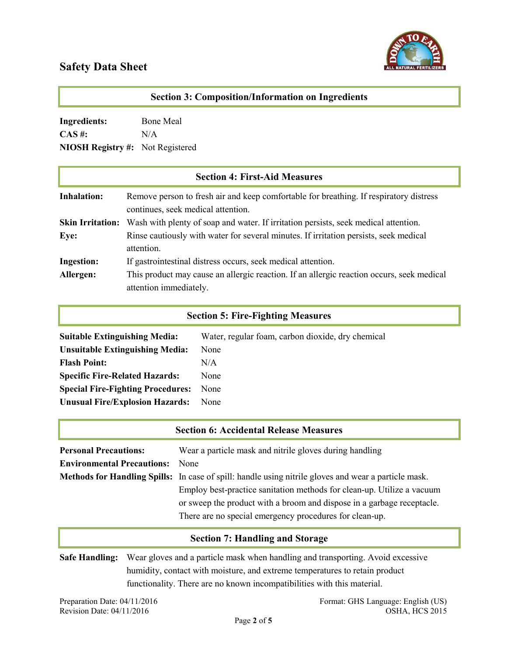

| <b>Section 3: Composition/Information on Ingredients</b> |                                                                                                                              |
|----------------------------------------------------------|------------------------------------------------------------------------------------------------------------------------------|
| <b>Ingredients:</b>                                      | Bone Meal                                                                                                                    |
| $CAS \#$ :                                               | N/A                                                                                                                          |
| <b>NIOSH Registry #:</b>                                 | Not Registered                                                                                                               |
|                                                          | <b>Section 4: First-Aid Measures</b>                                                                                         |
| <b>Inhalation:</b>                                       | Remove person to fresh air and keep comfortable for breathing. If respiratory distress<br>continues, seek medical attention. |
| <b>Skin Irritation:</b>                                  | Wash with plenty of soap and water. If irritation persists, seek medical attention.                                          |
| Eye:                                                     | Rinse cautiously with water for several minutes. If irritation persists, seek medical<br>attention.                          |
| <b>Ingestion:</b>                                        | If gastrointestinal distress occurs, seek medical attention.                                                                 |
| Allergen:                                                | This product may cause an allergic reaction. If an allergic reaction occurs, seek medical<br>attention immediately.          |

### Section 5: Fire-Fighting Measures

| <b>Suitable Extinguishing Media:</b>     | Water, regular foam, carbon dioxide, dry chemical |
|------------------------------------------|---------------------------------------------------|
| <b>Unsuitable Extinguishing Media:</b>   | None                                              |
| <b>Flash Point:</b>                      | N/A                                               |
| <b>Specific Fire-Related Hazards:</b>    | None                                              |
| <b>Special Fire-Fighting Procedures:</b> | None                                              |
| <b>Unusual Fire/Explosion Hazards:</b>   | None                                              |

|                                   | <b>Section 6: Accidental Release Measures</b>                                                               |
|-----------------------------------|-------------------------------------------------------------------------------------------------------------|
| <b>Personal Precautions:</b>      | Wear a particle mask and nitrile gloves during handling                                                     |
| <b>Environmental Precautions:</b> | <b>None</b>                                                                                                 |
|                                   | <b>Methods for Handling Spills:</b> In case of spill: handle using nitrile gloves and wear a particle mask. |
|                                   | Employ best-practice sanitation methods for clean-up. Utilize a vacuum                                      |
|                                   | or sweep the product with a broom and dispose in a garbage receptacle.                                      |
|                                   | There are no special emergency procedures for clean-up.                                                     |

## Section 7: Handling and Storage

Safe Handling: Wear gloves and a particle mask when handling and transporting. Avoid excessive humidity, contact with moisture, and extreme temperatures to retain product functionality. There are no known incompatibilities with this material.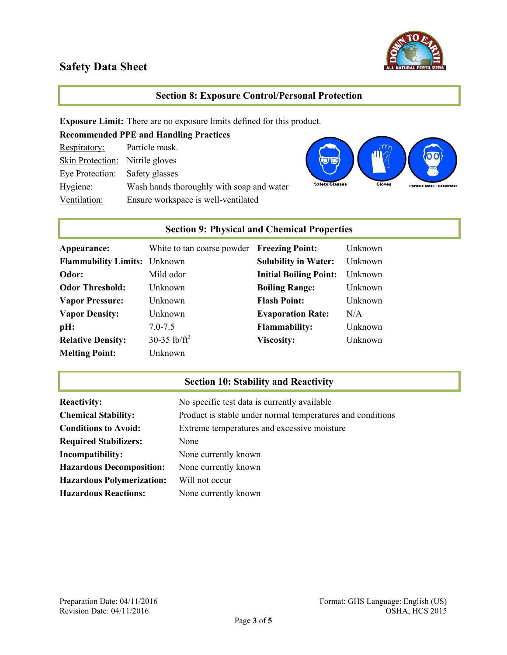

### Section 8: Exposure Control/Personal Protection

Exposure Limit: There are no exposure limits defined for this product.

| <b>Recommended PPE and Handling Practices</b> |                                           |  |
|-----------------------------------------------|-------------------------------------------|--|
| Respiratory:                                  | Particle mask.                            |  |
| Skin Protection: Nitrile gloves               |                                           |  |
| Eye Protection: Safety glasses                |                                           |  |
| Hygiene:                                      | Wash hands thoroughly with soap and water |  |
| Ventilation:                                  | Ensure workspace is well-ventilated       |  |



## Section 9: Physical and Chemical Properties

| Appearance:                         | White to tan coarse powder | <b>Freezing Point:</b>        | Unknown |
|-------------------------------------|----------------------------|-------------------------------|---------|
| <b>Flammability Limits:</b> Unknown |                            | <b>Solubility in Water:</b>   | Unknown |
| Odor:                               | Mild odor                  | <b>Initial Boiling Point:</b> | Unknown |
| <b>Odor Threshold:</b>              | Unknown                    | <b>Boiling Range:</b>         | Unknown |
| <b>Vapor Pressure:</b>              | Unknown                    | <b>Flash Point:</b>           | Unknown |
| <b>Vapor Density:</b>               | Unknown                    | <b>Evaporation Rate:</b>      | N/A     |
| pH:                                 | $7.0 - 7.5$                | <b>Flammability:</b>          | Unknown |
| <b>Relative Density:</b>            | 30-35 lb/ $ft^3$           | <b>Viscosity:</b>             | Unknown |
| <b>Melting Point:</b>               | Unknown                    |                               |         |

## Section 10: Stability and Reactivity

| <b>Reactivity:</b>               | No specific test data is currently available               |
|----------------------------------|------------------------------------------------------------|
| <b>Chemical Stability:</b>       | Product is stable under normal temperatures and conditions |
| <b>Conditions to Avoid:</b>      | Extreme temperatures and excessive moisture                |
| <b>Required Stabilizers:</b>     | None                                                       |
| Incompatibility:                 | None currently known                                       |
| <b>Hazardous Decomposition:</b>  | None currently known                                       |
| <b>Hazardous Polymerization:</b> | Will not occur                                             |
| <b>Hazardous Reactions:</b>      | None currently known                                       |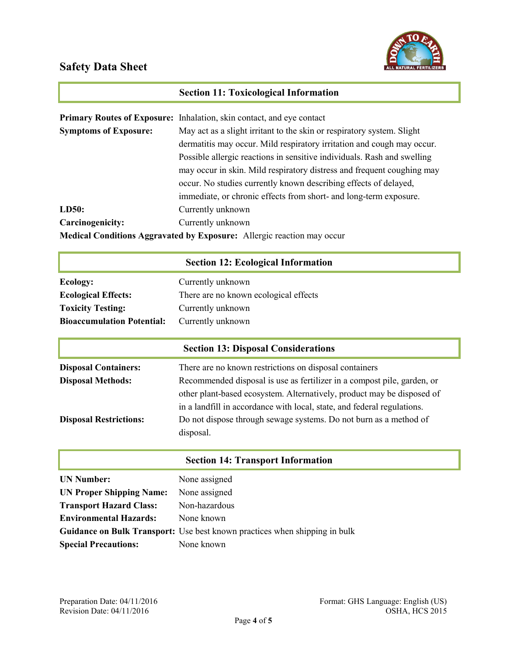

## Section 11: Toxicological Information

|                              | Primary Routes of Exposure: Inhalation, skin contact, and eye contact         |  |
|------------------------------|-------------------------------------------------------------------------------|--|
| <b>Symptoms of Exposure:</b> | May act as a slight irritant to the skin or respiratory system. Slight        |  |
|                              | dermatitis may occur. Mild respiratory irritation and cough may occur.        |  |
|                              | Possible allergic reactions in sensitive individuals. Rash and swelling       |  |
|                              | may occur in skin. Mild respiratory distress and frequent coughing may        |  |
|                              | occur. No studies currently known describing effects of delayed,              |  |
|                              | immediate, or chronic effects from short- and long-term exposure.             |  |
| LD50:                        | Currently unknown                                                             |  |
| Carcinogenicity:             | Currently unknown                                                             |  |
|                              | <b>Medical Conditions Aggravated by Exposure:</b> Allergic reaction may occur |  |

## Section 12: Ecological Information

| Ecology:                          | Currently unknown                     |
|-----------------------------------|---------------------------------------|
| <b>Ecological Effects:</b>        | There are no known ecological effects |
| <b>Toxicity Testing:</b>          | Currently unknown                     |
| <b>Bioaccumulation Potential:</b> | Currently unknown                     |

|                               | <b>Section 13: Disposal Considerations</b>                              |
|-------------------------------|-------------------------------------------------------------------------|
| <b>Disposal Containers:</b>   | There are no known restrictions on disposal containers                  |
| <b>Disposal Methods:</b>      | Recommended disposal is use as fertilizer in a compost pile, garden, or |
|                               | other plant-based ecosystem. Alternatively, product may be disposed of  |
|                               | in a landfill in accordance with local, state, and federal regulations. |
| <b>Disposal Restrictions:</b> | Do not dispose through sewage systems. Do not burn as a method of       |
|                               | disposal.                                                               |

|                                 | <b>Section 14: Transport Information</b>                                          |
|---------------------------------|-----------------------------------------------------------------------------------|
| <b>UN Number:</b>               | None assigned                                                                     |
| <b>UN Proper Shipping Name:</b> | None assigned                                                                     |
| <b>Transport Hazard Class:</b>  | Non-hazardous                                                                     |
| <b>Environmental Hazards:</b>   | None known                                                                        |
|                                 | <b>Guidance on Bulk Transport:</b> Use best known practices when shipping in bulk |
| <b>Special Precautions:</b>     | None known                                                                        |